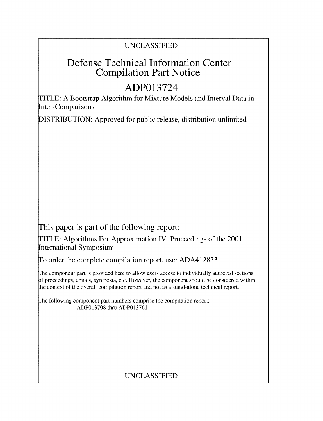# UNCLASSIFIED

# Defense Technical Information Center Compilation Part Notice

# ADP013724

TITLE: A Bootstrap Algorithm for Mixture Models and Interval Data in Inter-Comparisons

DISTRIBUTION: Approved for public release, distribution unlimited

This paper is part of the following report:

TITLE: Algorithms For Approximation IV. Proceedings of the 2001 International Symposium

To order the complete compilation report, use: ADA412833

The component part is provided here to allow users access to individually authored sections f proceedings, annals, symposia, etc. However, the component should be considered within the context of the overall compilation report and not as a stand-alone technical report.

The following component part numbers comprise the compilation report: ADP013708 thru ADP013761

# UNCLASSIFIED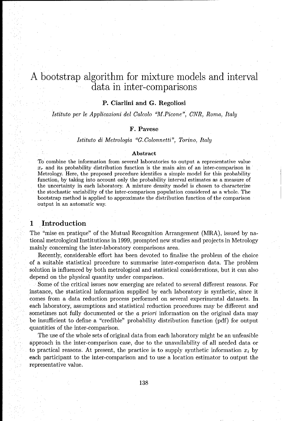# A bootstrap algorithm for mixture models and interval data in inter-comparisons

#### P. Ciarlini and **G.** Regoliosi

*Istituto* per le *Applicazioni del Calcolo "M.Picone", CNR, Roma,* Italy

#### F. Pavese

#### *Istituto di Metrologia "G.Colonnetti", Torino, Italy*

#### Abstract

To combine the information from several laboratories to output a representative value  $x<sub>r</sub>$  and its probability distribution function is the main aim of an inter-comparison in Metrology. Here, the proposed procedure identifies a simple model for this probability function, by taking into account only the probability interval estimates as a measure of the uncertainty in each laboratory. A mixture density model is chosen to characterize the stochastic variability of the inter-comparison population considered as a whole. The bootstrap method is applied to approximate the distribution function of the comparison output in an automatic way.

## **1** Introduction

The "mise en pratique" of the Mutual Recognition Arrangement (MRA), issued by national metrological Institutions in 1999, prompted new studies and projects in Metrology mainly concerning the inter-laboratory comparisons area.

Recently, considerable effort has been devoted to finalise the problem of the choice of a suitable statistical procedure to summarise inter-comparison data. The problem solution is influenced by both metrological and statistical considerations, but it can also depend on the physical quantity under comparison.

Some of the critical issues now emerging are related to several different reasons. For instance, the statistical information supplied by each laboratory is synthetic, since it comes from a data reduction process performed on several experimental datasets. In each laboratory, assumptions and statistical reduction procedures may be different and sometimes not fully documented or the a priori information on the original data may be insufficient to define a "credible" probability distribution function (pdf) for output quantities of the inter-comparison.

The use of the whole sets of original data from each laboratory might be an unfeasible approach in the inter-comparison case, due to the unavailability of all needed data or to practical reasons. At present, the practice is to supply synthetic information  $x_i$  by each participant to the inter-comparison and to use a location estimator to output the representative value.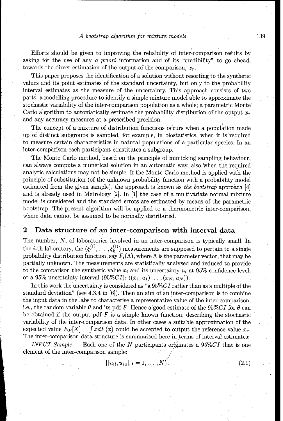Efforts should be given to improving the reliability of inter-comparison results by asking for the use of any a priori information and of its "credibility" to go ahead, towards the direct estimation of the output of the comparison,  $x_r$ .

This paper proposes the identification of a solution without resorting to the synthetic values and its point estimates of the standard uncertainty, but only to the probability interval estimates as the measure of the uncertainty. This approach consists of two parts: a modelling procedure to identify a simple mixture model able to approximate the stochastic variability of the inter-comparison population as a whole; a parametric Monte Carlo algorithm to automatically estimate the probability distribution of the output  $x_r$ and any accuracy measures at a prescribed precision.

The concept of a mixture of distribution functions occurs when a population made up of distinct subgroups is sampled, for example, in biostatistics, when it is required to measure certain characteristics in natural populations of a particular species. In an inter-comparison each participant constitutes a subgroup.

The Monte Carlo method, based on the principle of mimicking sampling behaviour, can always compute a numerical solution in an automatic way, also when the required analytic calculations may not be simple. If the Monte Carlo method is applied with the principle of substitution (of the unknown probability function with a probability model estimated from the given sample), the approach is known as *the bootstrap* approach [4] and is already used in Metrology [2]. In [1] the case of a multivariate normal mixture model is considered and the standard errors are estimated by means of the parametric bootstrap. The present algorithm will be applied to a thermometric inter-comparison, where data cannot be assumed to be normally distributed.

## 2 Data structure of an inter-comparison with interval data

The number, N, of laboratories involved in an inter-comparison is typically small. In the *i*-th laboratory, the  $(\xi_1^{(i)}, \ldots, \xi_k^{(i)})$  measurements are supposed to pertain to a single probability distribution function, say  $F_i(\Lambda)$ , where  $\Lambda$  is the parameter vector, that may be partially unknown. The measurements are statistically analysed and reduced to provide to the comparison the synthetic value  $x_i$  and its uncertainty  $u_i$  at 95% confidence level, or a 95% uncertainty interval  $(95\%CI): ((x_1, u_1) \ldots, (x_N, u_N)).$ 

In this work the uncertainty is considered as "a 95%CI rather than as a multiple of the standard deviation" (see 4.3.4 in  $[6]$ ). Then an aim of an inter-comparison is to combine the input data in the labs to characterise a representative value of the inter-comparison, i.e., the random variable  $\theta$  and its pdf F. Hence a good estimate of the 95%CI for  $\theta$  can be obtained if the output pdf *F* is a simple known function, describing the stochastic variability of the inter-comparison data. In other cases a suitable approximation of the expected value  $E_F[X] = \int x dF(x)$  could be accepted to output the reference value  $x_T$ . The inter-comparison data structure is summarised here in terms of interval estimates:

*INPUT Sample* — Each one of the N participants originates a 95%CI that is one element of the inter-comparison sample: */*

$$
\{[u_{il},u_{iu}],i=1,\ldots,N\}
$$

 $(2.1)$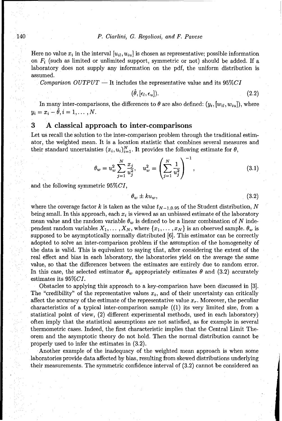Here no value  $x_i$  in the interval  $[u_{ii}, u_{ii}]$  is chosen as representative; possible information on  $F_i$  (such as limited or unlimited support, symmetric or not) should be added. If a laboratory does not supply any information on the pdf, the uniform distribution is assumed.

*Comparison*  $OUTPUT$  - It includes the representative value and its  $95\%CI$ 

$$
(\theta, [\epsilon_l, \epsilon_u]). \tag{2.2}
$$

In many inter-comparisons, the differences to  $\theta$  are also defined:  $(y_i, [w_{ii}, w_{ii}])$ , where  $y_i = x_i - \hat{\theta}, i = 1, \ldots, N.$ 

#### **3 A** classical approach to inter-comparisons

Let us recall the solution to the inter-comparison problem through the traditional estimator, the weighted mean. It is a location statistic that combines several measures and their standard uncertainties  $(x_i, u_i)_{i=1}^N$ . It provides the following estimate for  $\theta$ ,

$$
\theta_w = u_w^2 \sum_{j=1}^N \frac{x_j}{u_j^2}, \quad u_w^2 = \left(\sum_{j=1}^N \frac{1}{u_j^2}\right) , \qquad (3.1)
$$

and the following symmetric  $95\%CI$ ,

$$
\theta_w \pm k u_w, \tag{3.2}
$$

where the coverage factor k is taken as the value  $t_{N-1,0.95}$  of the Student distribution, N being small. In this approach, each  $x_i$  is viewed as an unbiased estimate of the laboratory mean value and the random variable  $\theta_w$  is defined to be a linear combination of N independent random variables  $X_1, \ldots, X_N$ , where  $\{x_1, \ldots, x_N\}$  is an observed sample.  $\theta_w$  is supposed to be asymptotically normally distributed [6]. This estimator can be correctly adopted to solve an inter-comparison problem if the assumption of the homogeneity of the data is valid. This is equivalent to saying that, after considering the extent of the real effect and bias in each laboratory, the laboratories yield on the average the same value, so that the differences between the estimates are entirely due to random error. In this case, the selected estimator  $\theta_w$  appropriately estimates  $\theta$  and (3.2) accurately estimates its  $95\% CI$ .

Obstacles to applying this approach to a key-comparison have been discussed in [3]. The "credibility" of the representative values  $x_i$ , and of their uncertainty can critically affect the accuracy of the estimate of the representative value *xr.* Moreover, the peculiar characteristics of a typical inter-comparison sample ((1) its very limited size, from a statistical point of view, (2) different experimental methods, used in each laboratory) often imply that the statistical assumptions are not satisfied, as for example in several thermometric cases. Indeed, the first characteristic implies that the Central Limit Theorem and the asymptotic theory do not hold. Then the normal distribution cannot be properly used to infer the estimates in (3.2).

Another example of the inadequacy of the weighted mean approach is when some laboratories provide data affected by bias, resulting from skewed distributions underlying their measurements. The symmetric confidence interval of (3.2) cannot be considered an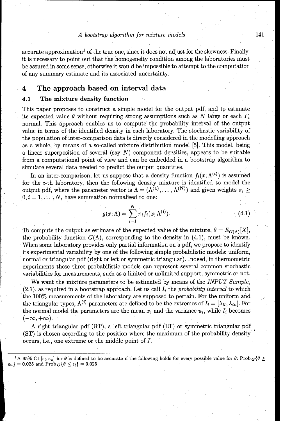$\alpha$  accurate approximation<sup>1</sup> of the true one, since it does not adjust for the skewness. Finally, it is necessary to point out that the homogeneity condition among the laboratories must be assured in some sense, otherwise it would be impossible to attempt to the computation of any summary estimate and its associated uncertainty.

## 4 The approach based on interval data

#### 4.1 The mixture density function

This paper proposes to construct a simple model for the output pdf, and to estimate its expected value  $\theta$  without requiring strong assumptions such as N large or each  $F_i$ normal. This approach enables us to compute the probability interval of the output value in terms of the identified density in each laboratory. The stochastic variability of the population of inter-comparison data is directly considered in the modelling approach as a whole, by means of a so-called mixture distribution model **[5].** This model, being a linear superposition of several (say  $N$ ) component densities, appears to be suitable from a computational point of view and can be embedded in a bootstrap algorithm to simulate several data needed to predict the output quantities.

In an inter-comparison, let us suppose that a density function  $f_i(x; \Lambda^{(i)})$  is assumed for the i-th laboratory, then the following density mixture is identified to model the output pdf, where the parameter vector is  $\Lambda = (\Lambda^{(1)}, \ldots, \Lambda^{(N)})$  and given weights  $\pi_i \geq$  $0, i = 1, \ldots, N$ , have summation normalised to one:

$$
g(x; \Lambda) = \sum_{i=1}^{N} \pi_i f_i(x; \Lambda^{(i)}).
$$
 (4.1)

To compute the output as estimate of the expected value of the mixture,  $\theta = E_{G(\Lambda)}[X]$ , the probability function  $G(\Lambda)$ , corresponding to the density in (4.1), must be known. When some laboratory provides only partial information on a pdf, we propose to identify its experimental variability by one of the following simple probabilistic models: uniform, normal or triangular pdf (right or left or symmetric triangular). Indeed, in thermometric experiments these three probabilistic models can represent several common stochastic variabilities for measurements, such as a limited or unlimited support, symmetric or not.

We want the mixture parameters to be estimated by means of the *INPUT Sample,*  $(2.1)$ , as required in a bootstrap approach. Let us call  $I_i$  the probability interval to which the 100% measurements of the laboratory are supposed to pertain. For the uniform and the triangular types,  $\Lambda^{(i)}$  parameters are defined to be the extremes of  $I_i = [\lambda_{il}, \lambda_{iu}]$ . For the normal model the parameters are the mean  $x_i$  and the variance  $u_i$ , while  $I_i$  becomes  $(-\infty, +\infty).$ 

A right triangular pdf (RT), a left triangular pdf (LT) or symmetric triangular pdf (ST) is chosen according to the position where the maximum of the probability density occurs, i.e., one extreme or the middle point of *I.*

<sup>&</sup>lt;sup>1</sup>A 95% CI  $[\epsilon_l, \epsilon_u]$  for  $\theta$  is defined to be accurate if the following holds for every possible value for  $\theta$ : Prob<sub>G</sub> { $\theta$  >  $\epsilon_u$ } = 0.025 and Prob<sub>G</sub>{ $\theta \leq \epsilon_l$ } = 0.025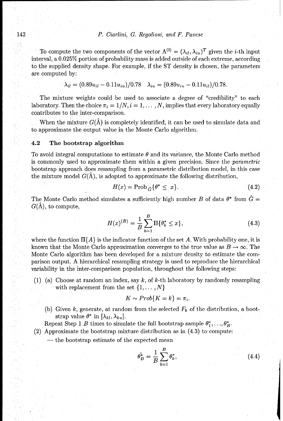#### 142 P. Ciarlini, *G. Regoliosi, and F. Pavese*

To compute the two components of the vector  $\Lambda^{(i)} = (\lambda_{il}, \lambda_{iu})^T$  given the *i*-th input interval, a 0.025% portion of probability mass is added outside of each extreme, according to the supplied density shape. For example, if the ST density is chosen, the parameters are computed by:

$$
\lambda_{il} = (0.89u_{il} - 0.11u_{iu})/0.78 \quad \lambda_{iu} = (0.89u_{iu} - 0.11u_{il})/0.78.
$$

The mixture weights could be used to associate a degree of "credibility" to each laboratory. Then the choice  $\pi_i = 1/N$ ,  $i = 1, \ldots, N$ , implies that every laboratory equally contributes to the inter-comparison.

When the mixture  $G(\hat{\Lambda})$  is completely identified, it can be used to simulate data and to approximate the output value in the Monte Carlo algorithm.

#### 4.2 The bootstrap algorithm

To avoid integral computations to estimate  $\theta$  and its variance, the Monte Carlo method is commonly used to approximate them within a given precision. Since the parametric bootstrap approach does resampling from a parametric distribution model, in this case the mixture model  $G(\hat{\Lambda})$ , is adopted to approximate the following distribution,

$$
H(x) = \text{Prob}_{\hat{G}}\{\theta^* \le x\}.
$$
\n(4.2)

The Monte Carlo method simulates a sufficiently high number B of data  $\theta^*$  from  $\tilde{G}$  =  $G(\hat{\Lambda})$ , to compute,

$$
H(x)^{(B)} = \frac{1}{B} \sum_{b=1}^{B} \Pi \{ \theta_b^* \le x \},\tag{4.3}
$$

where the function  $\Pi\{A\}$  is the indicator function of the set A. With probability one, it is known that the Monte Carlo approximation converges to the true value as  $B \to \infty$ . The Monte Carlo algorithm has been developed for a mixture density to estimate the comparison output. A hierarchical resampling strategy is used to reproduce the hierarchical variability in the inter-comparison population, throughout the following steps:

(1) (a) Choose at random an index, say *k,* of k-th laboratory by randomly resampling with replacement from the set {1, ... , *N}*

$$
K \sim Prob\{K = k\} = \pi_i.
$$

(b) Given k, generate, at random from the selected  $F_k$  of the distribution, a bootstrap value  $\theta^*$  in  $[\lambda_{kl}, \lambda_{ku}]$ .

Repeat Step 1 *B* times to simulate the full bootstrap sample  $\theta_1^*, \ldots, \theta_B^*$ .

(2) Approximate the bootstrap mixture distribution as in (4.3) to compute:

 $\div$  the bootstrap estimate of the expected mean

$$
\hat{\theta}_B^* = \frac{1}{B} \sum_{b=1}^B \theta_b^*,\tag{4.4}
$$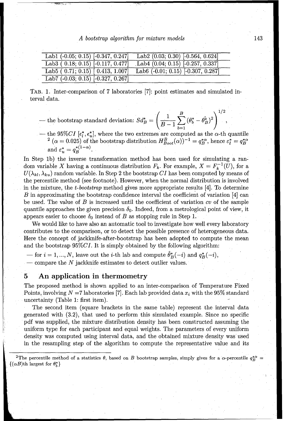| Lab1 $(-0.05; 0.1\overline{5})$ $[-0.347, 0.247]$ | Lab2 $(0.03; 0.30)$ [-0.564, 0.624]    |
|---------------------------------------------------|----------------------------------------|
| Lab <sub>3</sub> $(0.18; 0.15)$ $[-0.117, 0.477]$ | Lab $4(0.04; 0.15)$ [-0.257, 0.337]    |
| Lab $5(0.71; 0.15)$ $0.413, 1.007$                | Lab6 $(-0.01; 0.15)$ $[-0.307, 0.287]$ |
| Lab7 $(-0.03; 0.15)$ $[-0.327, 0.267]$            |                                        |

TAB. 1. Inter-comparison of 7 laboratories [7]: point estimates and simulated interval data.

- 1 *B*  )1/2• - the bootstrap standard deviation:  $Sd^*_B = \left(\frac{1}{B-1}\sum_{k=1}^B{(\theta_b^* - \hat{\theta}_B^*)^2}\right)^{1/2}$
- the 95%CI  $[\epsilon_t^*, \epsilon_w^*]$ , where the two extremes are computed as the  $\alpha$ -th quantile  $^2$  ( $\alpha = 0.025$ ) of the bootstrap distribution  $H_{Boot}^B(\alpha))^{-1} = q_B^{*\alpha}$ , hence  $\varepsilon_t^* = q_B^{*\alpha}$

In Step **1b)** the inverse transformation method has been used for simulating a random variable X having a continuous distribution  $F_k$ . For example,  $X = F_k^{-1}(U)$ , for a  $U(\lambda_{kl}, \lambda_{kl})$  random variable. In Step 2 the bootstrap CI has been computed by means of the percentile method (see footnote). However, when the normal distribution is involved in the mixture, the *t-bootstrap* method gives more appropriate results [4]. To determine  $B$  in approximating the bootstrap confidence interval the coefficient of variation  $[4]$  can be used. The value of *B* is increased until the coefficient of variation cv of the sample quantile approaches the given precision  $\delta_0$ . Indeed, from a metrological point of view, it appears easier to choose  $\delta_0$  instead of B as stopping rule in Step 1.

We would like to have also an automatic tool to investigate how well every laboratory contributes to the comparison, or to detect the possible presence of heterogeneous data. Here the concept of jackknife-after-bootstrap has been adopted to compute the mean and the bootstrap  $95\%CI$ . It is simply obtained by the following algorithm:

 $\hat{\theta}_B^*(-i)$  and  $q_B^*(-i)$ , leave out the *i*-th lab and compute  $\hat{\theta}_B^*(-i)$  and  $q_B^*(-i)$ , **-** compare the N jackknife estimates to detect outlier values.

## **5** An application in thermometry

The proposed method is shown applied to an inter-comparison of Temperature Fixed Points, involving  $N = 7$  laboratories [7]. Each lab provided data  $x_i$  with the 95% standard uncertainty (Table 1: first item).

The second item (square brackets in the same table) represent the interval data generated with (3.2), that used to perform this simulated example. Since no specific pdf was supplied, the mixture distribution density has been constructed assuming the uniform type for each participant and equal weights. The parameters of every uniform density was computed using interval data, and the obtained mixture density was used in the resampling step of the algorithm to compute the representative value and its

<sup>&</sup>lt;sup>2</sup>The percentile method of a statistics  $\theta$ , based on B bootstrap samples, simply gives for a  $\alpha$ -percentile  $q_P^{*\alpha}$  =  $\{(\alpha B)$ th largest for  $\theta_h^*\}$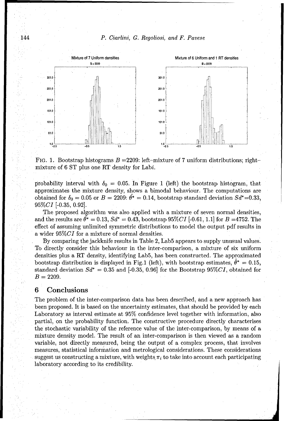144 P. Ciarlini, *G. Regoliosi, and F. Pavese*



FIG. 1. Bootstrap histograms  $B = 2209$ : left-mixture of 7 uniform distributions; rightmixture of 6 ST plus one RT density for Labi.

probability interval with  $\delta_0 = 0.05$ . In Figure 1 (left) the bootstrap histogram, that approximates the mixture density, shows a bimodal behaviour. The computations are obtained for  $\delta_0 = 0.05$  or  $B = 2209$ :  $\hat{\theta}^* = 0.14$ , bootstrap standard deviation  $Sd^* = 0.33$ ,  $95\% CI$  [-0.35, 0.92].

The proposed algorithm was also applied with a mixture of seven normal densities, and the results are  $\theta^* = 0.13$ ,  $S d^* = 0.43$ , bootstrap 95%CI [-0.61, 1.1] for  $B = 4752$ . The effect of assuming unlimited symmetric distributions to model the output pdf results in a wider 95%CI for a mixture of normal densities.

By comparing the jackknife results in Table 2, Lab5 appears to supply unusual values. To directly consider this behaviour in the inter-comparison, a mixture of six uniform densities plus a RT density, identifying Lab5, has been constructed. The approximated bootstrap distribution is displayed in Fig.1 (left), with bootstrap estimates,  $\hat{\theta}^* = 0.15$ , standard deviation  $Sd^* = 0.35$  and [-0.35, 0.96] for the Bootstrap 95%CI, obtained for  $B = 2209.$ 

#### **6** Conclusions

The problem of the inter-comparison data has been described, and a new approach has been proposed. It is based on the uncertainty estimates, that should be provided by each Laboratory as interval estimate at 95% confidence level together with information, also partial, on the probability function. The constructive procedure directly characterises the stochastic variability of the reference value of the inter-comparison, by means of a mixture density model. The result of an inter-comparison is then viewed as a random variable, not directly measured, being the output of a complex process, that involves measures, statistical information and metrological considerations. These considerations suggest us constructing a mixture, with weights  $\pi_i$  to take into account each participating laboratory according to its credibility.

**JJ**